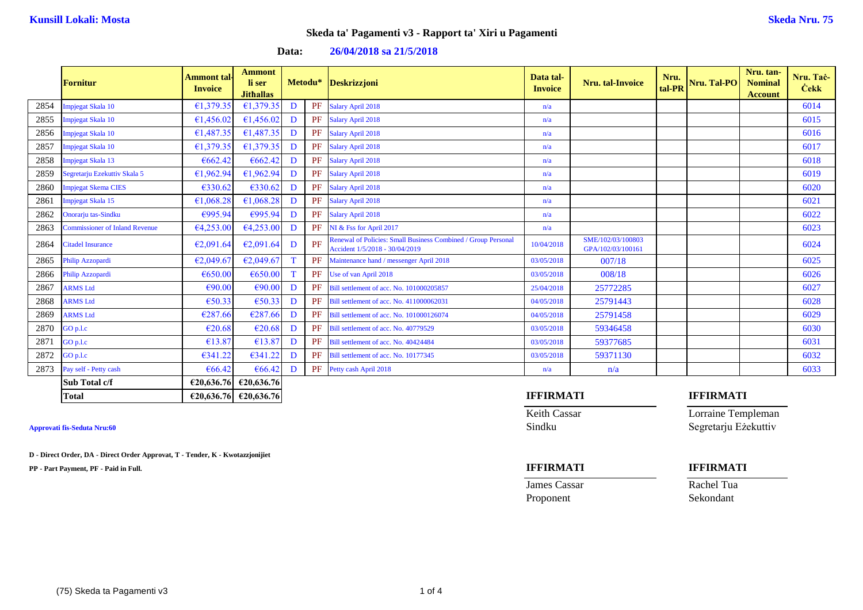|      | <b>Fornitur</b>                       | <b>Ammont tal-</b><br><b>Invoice</b> | <b>Ammont</b><br>li ser<br><b>Jithallas</b> |    |           | Metodu* Deskrizzjoni                                                                            | Data tal-<br><b>Invoice</b> | Nru. tal-Invoice                       | Nru.<br>tal-PR | Nru. Tal-PO | Nru. tan-<br><b>Nominal</b><br><b>Account</b> | Nru. Tač-<br><b>Cekk</b> |
|------|---------------------------------------|--------------------------------------|---------------------------------------------|----|-----------|-------------------------------------------------------------------------------------------------|-----------------------------|----------------------------------------|----------------|-------------|-----------------------------------------------|--------------------------|
| 2854 | Impjegat Skala 10                     | €1,379.35                            | €1,379.35                                   | D  |           | PF Salary April 2018                                                                            | n/a                         |                                        |                |             |                                               | 6014                     |
| 2855 | Impjegat Skala 10                     | €1,456.02                            | €1,456.02                                   | D  | PF        | <b>Salary April 2018</b>                                                                        | n/a                         |                                        |                |             |                                               | 6015                     |
| 2856 | Impjegat Skala 10                     | €1,487.35                            | €1,487.35                                   | D  | PF        | Salary April 2018                                                                               | n/a                         |                                        |                |             |                                               | 6016                     |
| 2857 | Impjegat Skala 10                     | €1,379.35                            | €1,379.35                                   | D  | PF        | <b>Salary April 2018</b>                                                                        | n/a                         |                                        |                |             |                                               | 6017                     |
| 2858 | Impjegat Skala 13                     | €662.42                              | €662.42                                     | D  |           | PF Salary April 2018                                                                            | n/a                         |                                        |                |             |                                               | 6018                     |
| 2859 | Segretarju Ezekuttiv Skala 5          | €1,962.94                            | €1,962.94                                   | D  | PF        | Salary April 2018                                                                               | n/a                         |                                        |                |             |                                               | 6019                     |
| 2860 | Impjegat Skema CIES                   | €330.62                              | €330.62                                     | D  |           | PF Salary April 2018                                                                            | n/a                         |                                        |                |             |                                               | 6020                     |
| 2861 | Impjegat Skala 15                     | €1,068.28                            | €1,068.28                                   | D  | PF        | Salary April 2018                                                                               | n/a                         |                                        |                |             |                                               | 6021                     |
| 2862 | Onorarju tas-Sindku                   | €995.94                              | €995.94                                     | D  |           | PF Salary April 2018                                                                            | n/a                         |                                        |                |             |                                               | 6022                     |
| 2863 | <b>Commissioner of Inland Revenue</b> | 64,253.00                            | 64,253.00                                   | D  | PF        | NI & Fss for April 2017                                                                         | n/a                         |                                        |                |             |                                               | 6023                     |
| 2864 | <b>Citadel Insurance</b>              | €2,091.64                            | €2,091.64                                   | D  | PF        | Renewal of Policies: Small Business Combined / Group Personal<br>Accident 1/5/2018 - 30/04/2019 | 10/04/2018                  | SME/102/03/100803<br>GPA/102/03/100161 |                |             |                                               | 6024                     |
| 2865 | Philip Azzopardi                      | €2,049.67                            | €2,049.67                                   | T. | PF        | Maintenance hand / messenger April 2018                                                         | 03/05/2018                  | 007/18                                 |                |             |                                               | 6025                     |
| 2866 | Philip Azzopardi                      | €650.00                              | €650.00                                     | T  | PF        | Use of van April 2018                                                                           | 03/05/2018                  | 008/18                                 |                |             |                                               | 6026                     |
| 2867 | <b>ARMS</b> Ltd                       | €90.00                               | €90.00                                      | D  | PF        | Bill settlement of acc. No. 101000205857                                                        | 25/04/2018                  | 25772285                               |                |             |                                               | 6027                     |
| 2868 | <b>ARMS</b> Ltd                       | €50.33                               | €50.33                                      | D  | PF        | Bill settlement of acc. No. 411000062031                                                        | 04/05/2018                  | 25791443                               |                |             |                                               | 6028                     |
| 2869 | <b>ARMS</b> Ltd                       | €287.66                              | €287.66                                     | D  | PF        | Bill settlement of acc. No. 101000126074                                                        | 04/05/2018                  | 25791458                               |                |             |                                               | 6029                     |
| 2870 | GO p.l.c                              | €20.68                               | €20.68                                      | D  | PF        | Bill settlement of acc. No. 40779529                                                            | 03/05/2018                  | 59346458                               |                |             |                                               | 6030                     |
| 2871 | GO p.l.c                              | €13.87                               | €13.87                                      | D  | <b>PF</b> | Bill settlement of acc. No. 40424484                                                            | 03/05/2018                  | 59377685                               |                |             |                                               | 6031                     |
| 2872 | GO p.l.c                              | €341.22                              | €341.22                                     | D  | PF        | Bill settlement of acc. No. 10177345                                                            | 03/05/2018                  | 59371130                               |                |             |                                               | 6032                     |
| 2873 | Pay self - Petty cash                 | €66.42                               | €66.42                                      | D  | PF        | Petty cash April 2018                                                                           | n/a                         | n/a                                    |                |             |                                               | 6033                     |
|      | Sub Total c/f                         |                                      | €20,636.76 €20,636.76                       |    |           |                                                                                                 |                             |                                        |                |             |                                               |                          |

### **Data: 26/04/2018 sa 21/5/2018**

**D - Direct Order, DA - Direct Order Approvat, T - Tender, K - Kwotazzjonijiet**

**PP - Part Payment, PF - Paid in Full. IFFIRMATI IFFIRMATI**

### **Total €20,636.76 €20,636.76 IFFIRMATI IFFIRMATI**

Keith Cassar **Lorraine Templeman Approvati fis-Seduta Nru:60** Sindku Segretarju Eżekuttiv

**James Cassar Rachel Tua** Proponent Sekondant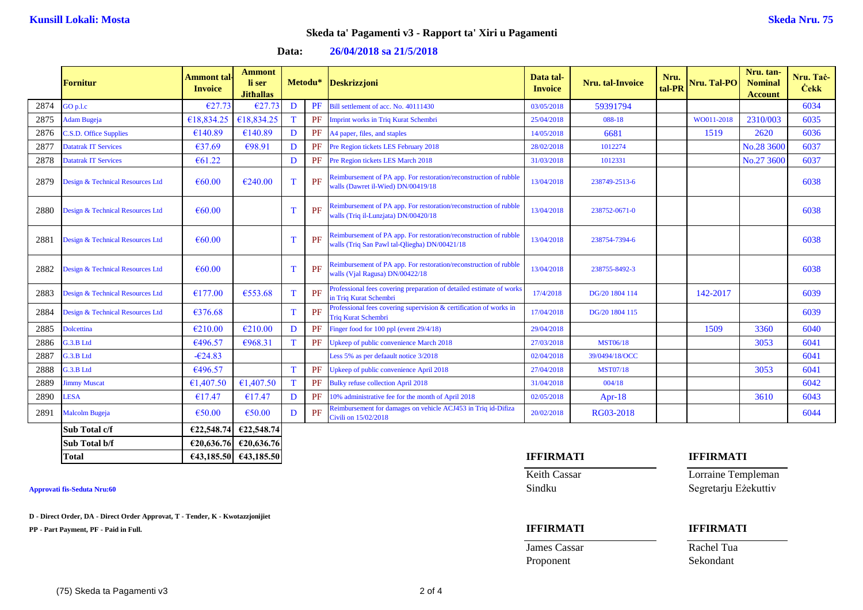| Data: | 26/04/2018 sa 21/5/2018 |  |
|-------|-------------------------|--|
|-------|-------------------------|--|

|      | <b>Fornitur</b>                  | Ammont tal <sub>'</sub><br><b>Invoice</b> | <b>Ammont</b><br>li ser<br><b>Jithallas</b> |              |    | Metodu* Deskrizzjoni                                                                                               | Data tal-<br><b>Invoice</b> | <b>Nru.</b> tal-Invoice | Nru.<br>tal-PR | Nru. Tal-PO | Nru. tan-<br><b>Nominal</b><br><b>Account</b> | Nru. Tač-<br><b>Cekk</b> |
|------|----------------------------------|-------------------------------------------|---------------------------------------------|--------------|----|--------------------------------------------------------------------------------------------------------------------|-----------------------------|-------------------------|----------------|-------------|-----------------------------------------------|--------------------------|
| 2874 | GO p.l.c                         | €27.73                                    | €27.73                                      | D            | PF | Bill settlement of acc. No. 40111430                                                                               | 03/05/2018                  | 59391794                |                |             |                                               | 6034                     |
| 2875 | Adam Bugeja                      | €18,834.25                                | €18,834.25                                  | T            | PF | <b>Imprint works in Triq Kurat Schembri</b>                                                                        | 25/04/2018                  | 088-18                  |                | WO011-2018  | 2310/003                                      | 6035                     |
| 2876 | C.S.D. Office Supplies           | €140.89                                   | €140.89                                     | D            | PF | A4 paper, files, and staples                                                                                       | 14/05/2018                  | 6681                    |                | 1519        | 2620                                          | 6036                     |
| 2877 | Datatrak IT Services             | €37.69                                    | €98.91                                      | D            | PF | Pre Region tickets LES February 2018                                                                               | 28/02/2018                  | 1012274                 |                |             | No.28 3600                                    | 6037                     |
| 2878 | <b>Datatrak IT Services</b>      | €61.22                                    |                                             | D            | PF | Pre Region tickets LES March 2018                                                                                  | 31/03/2018                  | 1012331                 |                |             | No.27 3600                                    | 6037                     |
| 2879 | Design & Technical Resources Ltd | $\epsilon$ 60.00                          | €240.00                                     | T            | PF | Reimbursement of PA app. For restoration/reconstruction of rubble<br>walls (Dawret il-Wied) DN/00419/18            | 13/04/2018                  | 238749-2513-6           |                |             |                                               | 6038                     |
| 2880 | Design & Technical Resources Ltd | $\epsilon$ 60.00                          |                                             | $\mathbf T$  | PF | Reimbursement of PA app. For restoration/reconstruction of rubble<br>walls (Triq il-Lunzjata) DN/00420/18          | 13/04/2018                  | 238752-0671-0           |                |             |                                               | 6038                     |
| 2881 | Design & Technical Resources Ltd | €60.00                                    |                                             | $\mathbf{T}$ | PF | Reimbursement of PA app. For restoration/reconstruction of rubble<br>walls (Triq San Pawl tal-Qliegha) DN/00421/18 | 13/04/2018                  | 238754-7394-6           |                |             |                                               | 6038                     |
| 2882 | Design & Technical Resources Ltd | €60.00                                    |                                             | T            | PF | Reimbursement of PA app. For restoration/reconstruction of rubble<br>walls (Vjal Ragusa) DN/00422/18               | 13/04/2018                  | 238755-8492-3           |                |             |                                               | 6038                     |
| 2883 | Design & Technical Resources Ltd | €177.00                                   | €553.68                                     | $\mathbf T$  | PF | Professional fees covering preparation of detailed estimate of works<br>in Triq Kurat Schembri                     | 17/4/2018                   | DG/20 1804 114          |                | 142-2017    |                                               | 6039                     |
| 2884 | Design & Technical Resources Ltd | €376.68                                   |                                             | $\mathbf T$  | PF | Professional fees covering supervision & certification of works in<br><b>Triq Kurat Schembri</b>                   | 17/04/2018                  | DG/20 1804 115          |                |             |                                               | 6039                     |
| 2885 | <b>Dolcettina</b>                | €210.00                                   | €210.00                                     | D            | PF | Finger food for 100 ppl (event 29/4/18)                                                                            | 29/04/2018                  |                         |                | 1509        | 3360                                          | 6040                     |
| 2886 | G.3.B Ltd                        | €496.57                                   | €968.31                                     | T            | PF | Jpkeep of public convenience March 2018                                                                            | 27/03/2018                  | <b>MST06/18</b>         |                |             | 3053                                          | 6041                     |
| 2887 | G.3.B Ltd                        | $-624.83$                                 |                                             |              |    | Less 5% as per defaault notice 3/2018                                                                              | 02/04/2018                  | 39/0494/18/OCC          |                |             |                                               | 6041                     |
| 2888 | G.3.B Ltd                        | €496.57                                   |                                             | T            | PF | Jpkeep of public convenience April 2018                                                                            | 27/04/2018                  | <b>MST07/18</b>         |                |             | 3053                                          | 6041                     |
| 2889 | immy Muscat                      | €1,407.50                                 | €1,407.50                                   | T            | PF | <b>Bulky refuse collection April 2018</b>                                                                          | 31/04/2018                  | 004/18                  |                |             |                                               | 6042                     |
| 2890 | <b>LESA</b>                      | €17.47                                    | €17.47                                      | D            | PF | 10% administrative fee for the month of April 2018                                                                 | 02/05/2018                  | $Apr-18$                |                |             | 3610                                          | 6043                     |
| 2891 | <b>Malcolm Bugeja</b>            | €50.00                                    | €50.00                                      | D            | PF | Reimbursement for damages on vehicle ACJ453 in Triq id-Difiza<br>Civili on 15/02/2018                              | 20/02/2018                  | RG03-2018               |                |             |                                               | 6044                     |
|      | Sub Total c/f                    | €22,548.74                                | €22,548.74                                  |              |    |                                                                                                                    |                             |                         |                |             |                                               |                          |
|      | Sub Total b/f                    |                                           | €20,636.76 €20,636.76                       |              |    |                                                                                                                    |                             |                         |                |             |                                               |                          |

**D - Direct Order, DA - Direct Order Approvat, T - Tender, K - Kwotazzjonijiet**

**PP - Part Payment, PF - Paid in Full. IFFIRMATI IFFIRMATI**

# **Total €43,185.50 €43,185.50 IFFIRMATI IFFIRMATI**

**James Cassar Rachel Tua** 

Keith Cassar **Lorraine Templeman Approvati fis-Seduta Nru:60** Sindku Segretarju Eżekuttiv

Proponent Sekondant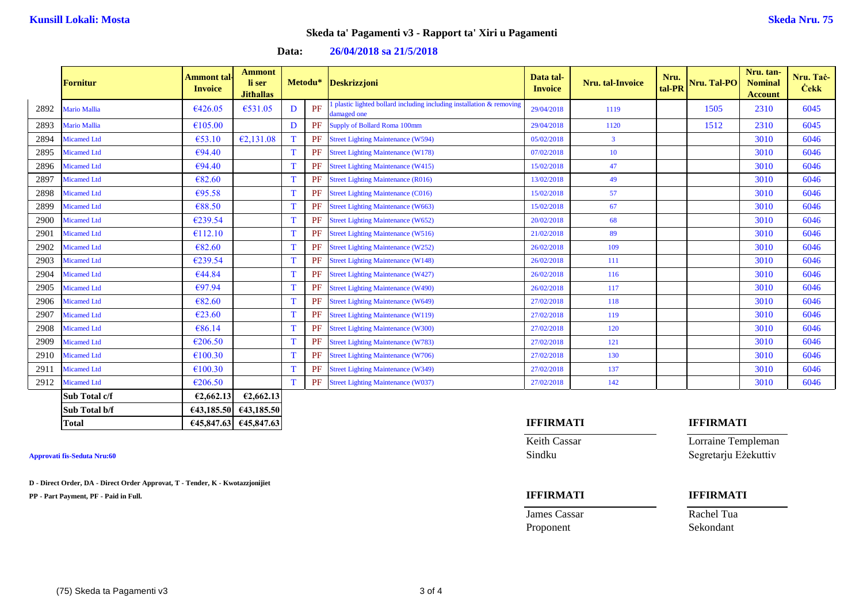|      | <b>Fornitur</b>     | Ammont tal·<br><b>Invoice</b> | <b>Ammont</b><br>li ser<br><b>Jithallas</b> |   | Metodu*   | Deskrizzjoni                                                                          | Data tal-<br><b>Invoice</b> | <b>Nru.</b> tal-Invoice | Nru.<br>tal-PR | Nru. Tal-PO | Nru. tan-<br><b>Nominal</b><br><b>Account</b> | Nru. Tač-<br><b>Cekk</b> |
|------|---------------------|-------------------------------|---------------------------------------------|---|-----------|---------------------------------------------------------------------------------------|-----------------------------|-------------------------|----------------|-------------|-----------------------------------------------|--------------------------|
| 2892 | <b>Mario Mallia</b> | €426.05                       | €531.05                                     | D | PF        | plastic lighted bollard including including installation $\&$ removing<br>damaged one | 29/04/2018                  | 1119                    |                | 1505        | 2310                                          | 6045                     |
| 2893 | Mario Mallia        | €105.00                       |                                             | D | PF        | <b>Supply of Bollard Roma 100mm</b>                                                   | 29/04/2018                  | 1120                    |                | 1512        | 2310                                          | 6045                     |
| 2894 | <b>Micamed Ltd</b>  | €53.10                        | E2,131.08                                   |   | <b>PF</b> | <b>Street Lighting Maintenance (W594)</b>                                             | 05/02/2018                  | $\mathbf{3}$            |                |             | 3010                                          | 6046                     |
| 2895 | <b>Micamed Ltd</b>  | €94.40                        |                                             |   | <b>PF</b> | <b>Street Lighting Maintenance (W178)</b>                                             | 07/02/2018                  | 10                      |                |             | 3010                                          | 6046                     |
| 2896 | <b>Micamed Ltd</b>  | €94.40                        |                                             |   | PF        | <b>Street Lighting Maintenance (W415)</b>                                             | 15/02/2018                  | 47                      |                |             | 3010                                          | 6046                     |
| 2897 | <b>Micamed Ltd</b>  | €82.60                        |                                             |   | PF        | <b>Street Lighting Maintenance (R016)</b>                                             | 13/02/2018                  | 49                      |                |             | 3010                                          | 6046                     |
| 2898 | <b>Micamed Ltd</b>  | €95.58                        |                                             | т | PF        | <b>Street Lighting Maintenance (C016)</b>                                             | 15/02/2018                  | 57                      |                |             | 3010                                          | 6046                     |
| 2899 | <b>Micamed Ltd</b>  | €88.50                        |                                             | т | <b>PF</b> | <b>Street Lighting Maintenance (W663)</b>                                             | 15/02/2018                  | 67                      |                |             | 3010                                          | 6046                     |
| 2900 | <b>Micamed Ltd</b>  | €239.54                       |                                             | T | PF        | <b>Street Lighting Maintenance (W652)</b>                                             | 20/02/2018                  | 68                      |                |             | 3010                                          | 6046                     |
| 2901 | <b>Micamed Ltd</b>  | €112.10                       |                                             | T | <b>PF</b> | <b>Street Lighting Maintenance (W516)</b>                                             | 21/02/2018                  | 89                      |                |             | 3010                                          | 6046                     |
| 2902 | <b>Micamed Ltd</b>  | €82.60                        |                                             | T | <b>PF</b> | <b>Street Lighting Maintenance (W252)</b>                                             | 26/02/2018                  | 109                     |                |             | 3010                                          | 6046                     |
| 2903 | <b>Micamed Ltd</b>  | €239.54                       |                                             |   | <b>PF</b> | <b>Street Lighting Maintenance (W148)</b>                                             | 26/02/2018                  | 111                     |                |             | 3010                                          | 6046                     |
| 2904 | <b>Micamed Ltd</b>  | €44.84                        |                                             |   | <b>PF</b> | <b>Street Lighting Maintenance (W427)</b>                                             | 26/02/2018                  | 116                     |                |             | 3010                                          | 6046                     |
| 2905 | <b>Micamed Ltd</b>  | €97.94                        |                                             |   | PF        | <b>Street Lighting Maintenance (W490)</b>                                             | 26/02/2018                  | 117                     |                |             | 3010                                          | 6046                     |
| 2906 | <b>Micamed Ltd</b>  | €82.60                        |                                             |   | PF        | <b>Street Lighting Maintenance (W649)</b>                                             | 27/02/2018                  | 118                     |                |             | 3010                                          | 6046                     |
| 2907 | <b>Micamed Ltd</b>  | $\epsilon$ 23.60              |                                             |   | PF        | <b>Street Lighting Maintenance (W119)</b>                                             | 27/02/2018                  | 119                     |                |             | 3010                                          | 6046                     |
| 2908 | <b>Micamed Ltd</b>  | €86.14                        |                                             | т | <b>PF</b> | <b>Street Lighting Maintenance (W300)</b>                                             | 27/02/2018                  | 120                     |                |             | 3010                                          | 6046                     |
| 2909 | <b>Micamed Ltd</b>  | €206.50                       |                                             | T | <b>PF</b> | <b>Street Lighting Maintenance (W783)</b>                                             | 27/02/2018                  | 121                     |                |             | 3010                                          | 6046                     |
| 2910 | <b>Micamed Ltd</b>  | €100.30                       |                                             | т | PF        | <b>Street Lighting Maintenance (W706)</b>                                             | 27/02/2018                  | 130                     |                |             | 3010                                          | 6046                     |
| 2911 | <b>Micamed Ltd</b>  | €100.30                       |                                             | т | PF        | <b>Street Lighting Maintenance (W349)</b>                                             | 27/02/2018                  | 137                     |                |             | 3010                                          | 6046                     |
| 2912 | <b>Micamed Ltd</b>  | €206.50                       |                                             | т | <b>PF</b> | <b>Street Lighting Maintenance (W037)</b>                                             | 27/02/2018                  | 142                     |                |             | 3010                                          | 6046                     |
|      | Sub Total c/f       | €2,662.13                     | €2,662.13                                   |   |           |                                                                                       |                             |                         |                |             |                                               |                          |

### **Data: 26/04/2018 sa 21/5/2018**

**D - Direct Order, DA - Direct Order Approvat, T - Tender, K - Kwotazzjonijiet**

**Sub Total b/f €43,185.50 €43,185.50**

**PP - Part Payment, PF - Paid in Full. IFFIRMATI IFFIRMATI**

## **Total €45,847.63 €45,847.63 IFFIRMATI IFFIRMATI**

Proponent Sekondant

# Keith Cassar **Lorraine Templeman Approvati fis-Seduta Nru:60** Sindku Segretarju Eżekuttiv

**James Cassar Rachel Tua**